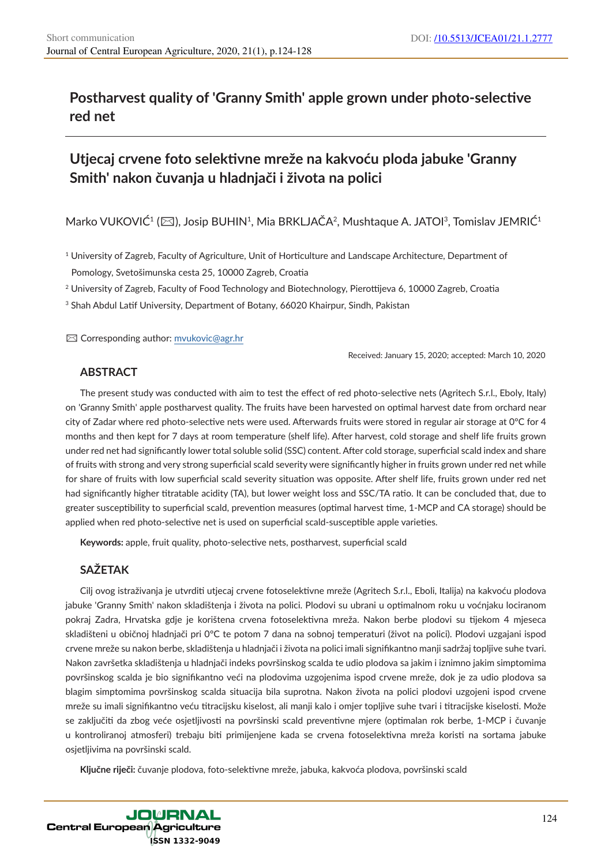## **Postharvest quality of 'Granny Smith' apple grown under photo-selective red net**

# **Utjecaj crvene foto selektivne mreže na kakvoću ploda jabuke 'Granny Smith' nakon čuvanja u hladnjači i života na polici**

Marko VUKOVIĆ<sup>1</sup> ( $\boxtimes$ ), Josip BUHIN<sup>1</sup>, Mia BRKLJAČA<sup>2</sup>, Mushtaque A. JATOI<sup>3</sup>, Tomislav JEMRIĆ<sup>1</sup>

<sup>1</sup> University of Zagreb, Faculty of Agriculture, Unit of Horticulture and Landscape Architecture, Department of Pomology, Svetošimunska cesta 25, 10000 Zagreb, Croatia

<sup>2</sup> University of Zagreb, Faculty of Food Technology and Biotechnology, Pierottijeva 6, 10000 Zagreb, Croatia

<sup>3</sup> Shah Abdul Latif University, Department of Botany, 66020 Khairpur, Sindh, Pakistan

✉ Corresponding author: mvukovic@agr.hr

Received: January 15, 2020; accepted: March 10, 2020

### **ABSTRACT**

The present study was conducted with aim to test the effect of red photo-selective nets (Agritech S.r.l., Eboly, Italy) on 'Granny Smith' apple postharvest quality. The fruits have been harvested on optimal harvest date from orchard near city of Zadar where red photo-selective nets were used. Afterwards fruits were stored in regular air storage at 0°C for 4 months and then kept for 7 days at room temperature (shelf life). After harvest, cold storage and shelf life fruits grown under red net had significantly lower total soluble solid (SSC) content. After cold storage, superficial scald index and share of fruits with strong and very strong superficial scald severity were significantly higher in fruits grown under red net while for share of fruits with low superficial scald severity situation was opposite. After shelf life, fruits grown under red net had significantly higher titratable acidity (TA), but lower weight loss and SSC/TA ratio. It can be concluded that, due to greater susceptibility to superficial scald, prevention measures (optimal harvest time, 1-MCP and CA storage) should be applied when red photo-selective net is used on superficial scald-susceptible apple varieties.

**Keywords:** apple, fruit quality, photo-selective nets, postharvest, superficial scald

## **SAŽETAK**

Cilj ovog istraživanja je utvrditi utjecaj crvene fotoselektivne mreže (Agritech S.r.l., Eboli, Italija) na kakvoću plodova jabuke 'Granny Smith' nakon skladištenja i života na polici. Plodovi su ubrani u optimalnom roku u voćnjaku lociranom pokraj Zadra, Hrvatska gdje je korištena crvena fotoselektivna mreža. Nakon berbe plodovi su tijekom 4 mjeseca skladišteni u običnoj hladnjači pri 0°C te potom 7 dana na sobnoj temperaturi (život na polici). Plodovi uzgajani ispod crvene mreže su nakon berbe, skladištenja u hladnjači i života na polici imali signifikantno manji sadržaj topljive suhe tvari. Nakon završetka skladištenja u hladnjači indeks površinskog scalda te udio plodova sa jakim i iznimno jakim simptomima površinskog scalda je bio signifikantno veći na plodovima uzgojenima ispod crvene mreže, dok je za udio plodova sa blagim simptomima površinskog scalda situacija bila suprotna. Nakon života na polici plodovi uzgojeni ispod crvene mreže su imali signifikantno veću titracijsku kiselost, ali manji kalo i omjer topljive suhe tvari i titracijske kiselosti. Može se zaključiti da zbog veće osjetljivosti na površinski scald preventivne mjere (optimalan rok berbe, 1-MCP i čuvanje u kontroliranoj atmosferi) trebaju biti primijenjene kada se crvena fotoselektivna mreža koristi na sortama jabuke osjetljivima na površinski scald.

**Ključne riječi:** čuvanje plodova, foto-selektivne mreže, jabuka, kakvoća plodova, površinski scald

**JOURNAL Central European Agriculture** ISSN 1332-9049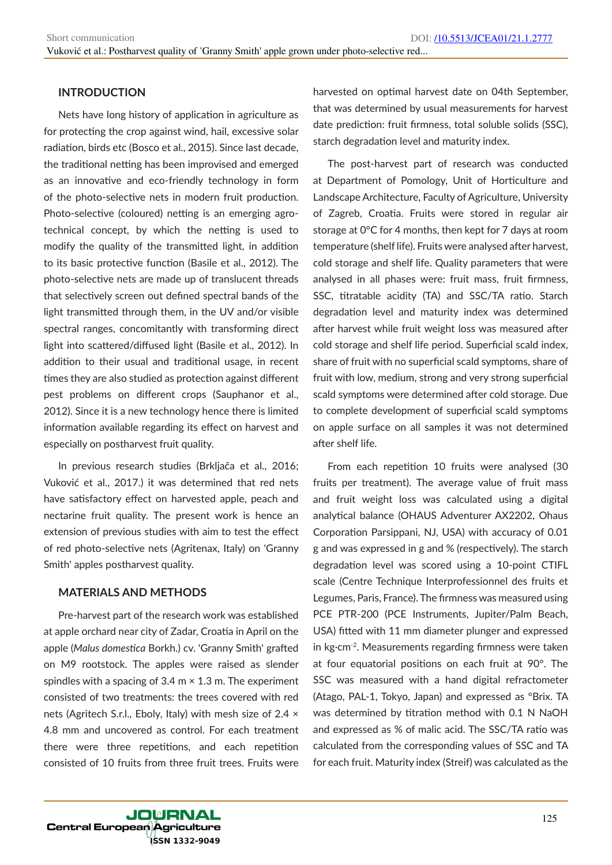### **INTRODUCTION**

Nets have long history of application in agriculture as for protecting the crop against wind, hail, excessive solar radiation, birds etc (Bosco et al., 2015). Since last decade, the traditional netting has been improvised and emerged as an innovative and eco-friendly technology in form of the photo-selective nets in modern fruit production. Photo-selective (coloured) netting is an emerging agrotechnical concept, by which the netting is used to modify the quality of the transmitted light, in addition to its basic protective function (Basile et al., 2012). The photo-selective nets are made up of translucent threads that selectively screen out defined spectral bands of the light transmitted through them, in the UV and/or visible spectral ranges, concomitantly with transforming direct light into scattered/diffused light (Basile et al., 2012). In addition to their usual and traditional usage, in recent times they are also studied as protection against different pest problems on different crops (Sauphanor et al., 2012). Since it is a new technology hence there is limited information available regarding its effect on harvest and especially on postharvest fruit quality.

In previous research studies (Brkljača et al., 2016; Vuković et al., 2017.) it was determined that red nets have satisfactory effect on harvested apple, peach and nectarine fruit quality. The present work is hence an extension of previous studies with aim to test the effect of red photo-selective nets (Agritenax, Italy) on 'Granny Smith' apples postharvest quality.

#### **MATERIALS AND METHODS**

Pre-harvest part of the research work was established at apple orchard near city of Zadar, Croatia in April on the apple (*Malus domestica* Borkh.) cv. 'Granny Smith' grafted on M9 rootstock. The apples were raised as slender spindles with a spacing of  $3.4 \text{ m} \times 1.3 \text{ m}$ . The experiment consisted of two treatments: the trees covered with red nets (Agritech S.r.l., Eboly, Italy) with mesh size of 2.4 × 4.8 mm and uncovered as control. For each treatment there were three repetitions, and each repetition consisted of 10 fruits from three fruit trees. Fruits were

harvested on optimal harvest date on 04th September, that was determined by usual measurements for harvest date prediction: fruit firmness, total soluble solids (SSC), starch degradation level and maturity index.

The post-harvest part of research was conducted at Department of Pomology, Unit of Horticulture and Landscape Architecture, Faculty of Agriculture, University of Zagreb, Croatia. Fruits were stored in regular air storage at 0°C for 4 months, then kept for 7 days at room temperature (shelf life). Fruits were analysed after harvest, cold storage and shelf life. Quality parameters that were analysed in all phases were: fruit mass, fruit firmness, SSC, titratable acidity (TA) and SSC/TA ratio. Starch degradation level and maturity index was determined after harvest while fruit weight loss was measured after cold storage and shelf life period. Superficial scald index, share of fruit with no superficial scald symptoms, share of fruit with low, medium, strong and very strong superficial scald symptoms were determined after cold storage. Due to complete development of superficial scald symptoms on apple surface on all samples it was not determined after shelf life.

From each repetition 10 fruits were analysed (30 fruits per treatment). The average value of fruit mass and fruit weight loss was calculated using a digital analytical balance (OHAUS Adventurer AX2202, Ohaus Corporation Parsippani, NJ, USA) with accuracy of 0.01 g and was expressed in g and % (respectively). The starch degradation level was scored using a 10-point CTIFL scale (Centre Technique Interprofessionnel des fruits et Legumes, Paris, France). The firmness was measured using PCE PTR-200 (PCE Instruments, Jupiter/Palm Beach, USA) fitted with 11 mm diameter plunger and expressed in kg·cm-2. Measurements regarding firmness were taken at four equatorial positions on each fruit at 90°. The SSC was measured with a hand digital refractometer (Atago, PAL-1, Tokyo, Japan) and expressed as °Brix. TA was determined by titration method with 0.1 N NaOH and expressed as % of malic acid. The SSC/TA ratio was calculated from the corresponding values of SSC and TA for each fruit. Maturity index (Streif) was calculated as the

**JOURNAL Central European Agriculture** ÍSSN 1332-9049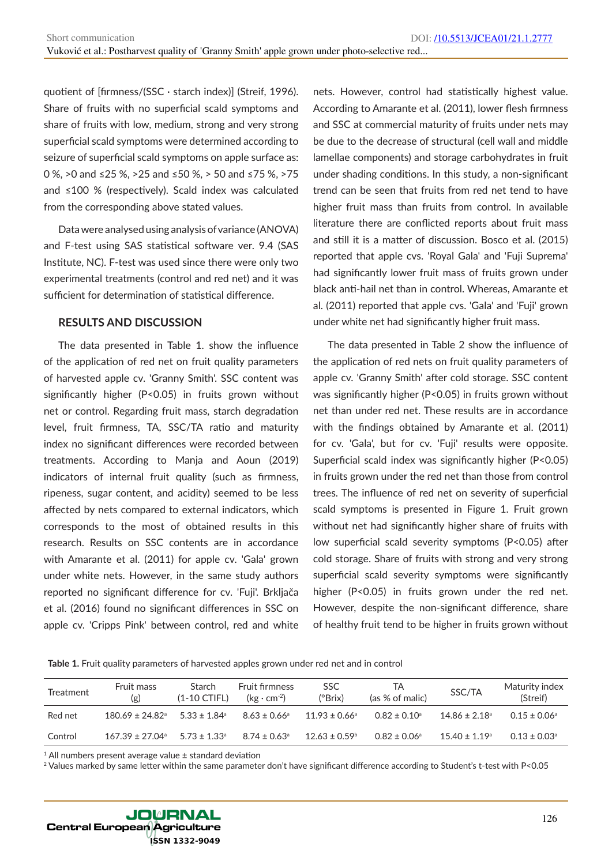quotient of [firmness/(SSC · starch index)] (Streif, 1996). Share of fruits with no superficial scald symptoms and share of fruits with low, medium, strong and very strong superficial scald symptoms were determined according to seizure of superficial scald symptoms on apple surface as: 0 %, >0 and ≤25 %, >25 and ≤50 %, > 50 and ≤75 %, >75 and ≤100 % (respectively). Scald index was calculated from the corresponding above stated values.

Data were analysed using analysis of variance (ANOVA) and F-test using SAS statistical software ver. 9.4 (SAS Institute, NC). F-test was used since there were only two experimental treatments (control and red net) and it was sufficient for determination of statistical difference.

#### **RESULTS AND DISCUSSION**

The data presented in Table 1. show the influence of the application of red net on fruit quality parameters of harvested apple cv. 'Granny Smith'. SSC content was significantly higher (P<0.05) in fruits grown without net or control. Regarding fruit mass, starch degradation level, fruit firmness, TA, SSC/TA ratio and maturity index no significant differences were recorded between treatments. According to Manja and Aoun (2019) indicators of internal fruit quality (such as firmness, ripeness, sugar content, and acidity) seemed to be less affected by nets compared to external indicators, which corresponds to the most of obtained results in this research. Results on SSC contents are in accordance with Amarante et al. (2011) for apple cv. 'Gala' grown under white nets. However, in the same study authors reported no significant difference for cv. 'Fuji'. Brkljača et al. (2016) found no significant differences in SSC on apple cv. 'Cripps Pink' between control, red and white

nets. However, control had statistically highest value. According to Amarante et al. (2011), lower flesh firmness and SSC at commercial maturity of fruits under nets may be due to the decrease of structural (cell wall and middle lamellae components) and storage carbohydrates in fruit under shading conditions. In this study, a non-significant trend can be seen that fruits from red net tend to have higher fruit mass than fruits from control. In available literature there are conflicted reports about fruit mass and still it is a matter of discussion. Bosco et al. (2015) reported that apple cvs. 'Royal Gala' and 'Fuji Suprema' had significantly lower fruit mass of fruits grown under black anti-hail net than in control. Whereas, Amarante et al. (2011) reported that apple cvs. 'Gala' and 'Fuji' grown under white net had significantly higher fruit mass.

The data presented in Table 2 show the influence of the application of red nets on fruit quality parameters of apple cv. 'Granny Smith' after cold storage. SSC content was significantly higher (P<0.05) in fruits grown without net than under red net. These results are in accordance with the findings obtained by Amarante et al. (2011) for cv. 'Gala', but for cv. 'Fuji' results were opposite. Superficial scald index was significantly higher (P<0.05) in fruits grown under the red net than those from control trees. The influence of red net on severity of superficial scald symptoms is presented in Figure 1. Fruit grown without net had significantly higher share of fruits with low superficial scald severity symptoms (P<0.05) after cold storage. Share of fruits with strong and very strong superficial scald severity symptoms were significantly higher (P<0.05) in fruits grown under the red net. However, despite the non-significant difference, share of healthy fruit tend to be higher in fruits grown without

**Table 1.** Fruit quality parameters of harvested apples grown under red net and in control

| Treatment | Fruit mass<br>(g)               | <b>Starch</b><br>$(1-10$ CTIFL) | <b>Fruit firmness</b><br>$(kg \cdot cm^{-2})$ | <b>SSC</b><br>(°Brix)    | ТA<br>(as % of malic)   | SSC/TA                        | Maturity index<br>(Streif)   |
|-----------|---------------------------------|---------------------------------|-----------------------------------------------|--------------------------|-------------------------|-------------------------------|------------------------------|
| Red net   | $180.69 \pm 24.82$ <sup>a</sup> | $5.33 \pm 1.84^{\circ}$         | $8.63 \pm 0.66^{\circ}$                       | $11.93 \pm 0.66^{\circ}$ | $0.82\pm0.10^{\rm a}$   | $14.86 \pm 2.18$ <sup>a</sup> | $0.15 \pm 0.06^{\circ}$      |
| Control   | $167.39 \pm 27.04^{\circ}$      | $5.73 \pm 1.33$ <sup>a</sup>    | $8.74 \pm 0.63$ <sup>a</sup>                  | $12.63 \pm 0.59^{\circ}$ | $0.82 \pm 0.06^{\circ}$ | $15.40 \pm 1.19^{\circ}$      | $0.13 \pm 0.03$ <sup>a</sup> |

 $1$  All numbers present average value  $\pm$  standard deviation

<sup>2</sup> Values marked by same letter within the same parameter don't have significant difference according to Student's t-test with P<0.05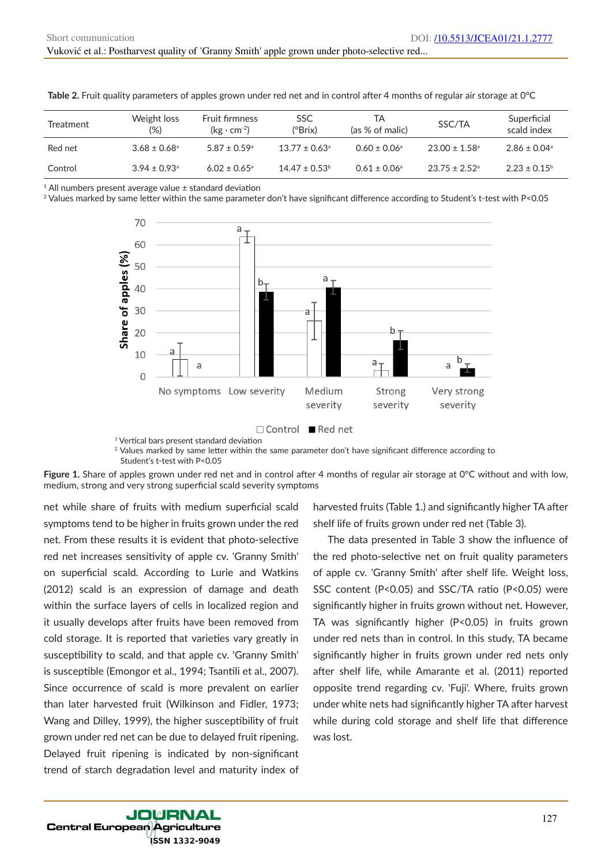| Treatment | Weight loss<br>$(\%)$        | <b>Fruit firmness</b><br>$(kg \cdot cm^{-2})$ | <b>SSC</b><br>(°Brix)         | ТA<br>(as % of malic)        | SSC/TA                        | Superficial<br>scald index |
|-----------|------------------------------|-----------------------------------------------|-------------------------------|------------------------------|-------------------------------|----------------------------|
| Red net   | $3.68 \pm 0.68$ <sup>a</sup> | $5.87 \pm 0.59$ <sup>a</sup>                  | $13.77 \pm 0.63$ <sup>a</sup> | $0.60 \pm 0.06$ <sup>a</sup> | $23.00 \pm 1.58$ <sup>a</sup> | $2.86 \pm 0.04^{\circ}$    |
| Control   | $3.94 \pm 0.93$ <sup>a</sup> | $6.02 \pm 0.65$ <sup>a</sup>                  | $14.47 \pm 0.53$ <sup>b</sup> | $0.61 \pm 0.06$ <sup>a</sup> | $23.75 \pm 2.52$ <sup>a</sup> | $2.23 \pm 0.15^{\circ}$    |

Table 2. Fruit quality parameters of apples grown under red net and in control after 4 months of regular air storage at 0°C

<sup>1</sup> All numbers present average value  $\pm$  standard deviation

<sup>2</sup> Values marked by same letter within the same parameter don't have significant difference according to Student's t-test with P<0.05





<sup>1</sup> Vertical bars present standard deviation

<sup>2</sup> Values marked by same letter within the same parameter don't have significant difference according to Student's t-test with P<0.05

**Figure 1.** Share of apples grown under red net and in control after 4 months of regular air storage at 0°C without and with low, medium, strong and very strong superficial scald severity symptoms

net while share of fruits with medium superficial scald symptoms tend to be higher in fruits grown under the red net. From these results it is evident that photo-selective red net increases sensitivity of apple cv. 'Granny Smith' on superficial scald. According to Lurie and Watkins (2012) scald is an expression of damage and death within the surface layers of cells in localized region and it usually develops after fruits have been removed from cold storage. It is reported that varieties vary greatly in susceptibility to scald, and that apple cv. 'Granny Smith' is susceptible (Emongor et al., 1994; Tsantili et al., 2007). Since occurrence of scald is more prevalent on earlier than later harvested fruit (Wilkinson and Fidler, 1973; Wang and Dilley, 1999), the higher susceptibility of fruit grown under red net can be due to delayed fruit ripening. Delayed fruit ripening is indicated by non-significant trend of starch degradation level and maturity index of

harvested fruits (Table 1.) and significantly higher TA after shelf life of fruits grown under red net (Table 3).

The data presented in Table 3 show the influence of the red photo-selective net on fruit quality parameters of apple cv. 'Granny Smith' after shelf life. Weight loss, SSC content (P<0.05) and SSC/TA ratio (P<0.05) were significantly higher in fruits grown without net. However, TA was significantly higher (P<0.05) in fruits grown under red nets than in control. In this study, TA became significantly higher in fruits grown under red nets only after shelf life, while Amarante et al. (2011) reported opposite trend regarding cv. 'Fuji'. Where, fruits grown under white nets had significantly higher TA after harvest while during cold storage and shelf life that difference was lost.